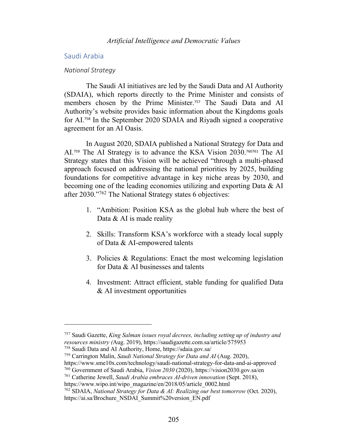# Saudi Arabia

#### *National Strategy*

The Saudi AI initiatives are led by the Saudi Data and AI Authority (SDAIA), which reports directly to the Prime Minister and consists of members chosen by the Prime Minister.<sup>757</sup> The Saudi Data and AI Authority's website provides basic information about the Kingdoms goals for AI. <sup>758</sup> In the September 2020 SDAIA and Riyadh signed a cooperative agreement for an AI Oasis.

In August 2020, SDAIA published a National Strategy for Data and AI.<sup>759</sup> The AI Strategy is to advance the KSA Vision 2030.<sup>760761</sup> The AI Strategy states that this Vision will be achieved "through a multi-phased approach focused on addressing the national priorities by 2025, building foundations for competitive advantage in key niche areas by 2030, and becoming one of the leading economies utilizing and exporting Data & AI after 2030."762 The National Strategy states 6 objectives:

- 1. "Ambition: Position KSA as the global hub where the best of Data & AI is made reality
- 2. Skills: Transform KSA's workforce with a steady local supply of Data & AI-empowered talents
- 3. Policies & Regulations: Enact the most welcoming legislation for Data & AI businesses and talents
- 4. Investment: Attract efficient, stable funding for qualified Data & AI investment opportunities

<sup>757</sup> Saudi Gazette, *King Salman issues royal decrees, including setting up of industry and resources ministry (*Aug. 2019), https://saudigazette.com.sa/article/575953

<sup>758</sup> Saudi Data and AI Authority, Home, https://sdaia.gov.sa/

<sup>759</sup> Carrington Malin, *Saudi National Strategy for Data and AI* (Aug. 2020),

https://www.sme10x.com/technology/saudi-national-strategy-for-data-and-ai-approved

<sup>760</sup> Government of Saudi Arabia, *Vision 2030* (2020), https://vision2030.gov.sa/en

<sup>761</sup> Catherine Jewell, *Saudi Arabia embraces AI-driven innovation* (Sept. 2018), https://www.wipo.int/wipo\_magazine/en/2018/05/article\_0002.html

<sup>762</sup> SDAIA, *National Strategy for Data & AI: Realizing our best tomorrow* (Oct. 2020), https://ai.sa/Brochure\_NSDAI\_Summit%20version\_EN.pdf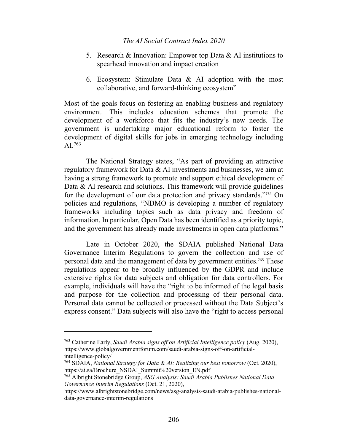- 5. Research & Innovation: Empower top Data & AI institutions to spearhead innovation and impact creation
- 6. Ecosystem: Stimulate Data & AI adoption with the most collaborative, and forward-thinking ecosystem"

Most of the goals focus on fostering an enabling business and regulatory environment. This includes education schemes that promote the development of a workforce that fits the industry's new needs. The government is undertaking major educational reform to foster the development of digital skills for jobs in emerging technology including AI.763

The National Strategy states, "As part of providing an attractive regulatory framework for Data & AI investments and businesses, we aim at having a strong framework to promote and support ethical development of Data & AI research and solutions. This framework will provide guidelines for the development of our data protection and privacy standards."<sup>764</sup> On policies and regulations, "NDMO is developing a number of regulatory frameworks including topics such as data privacy and freedom of information. In particular, Open Data has been identified as a priority topic, and the government has already made investments in open data platforms."

Late in October 2020, the SDAIA published National Data Governance Interim Regulations to govern the collection and use of personal data and the management of data by government entities.<sup>765</sup> These regulations appear to be broadly influenced by the GDPR and include extensive rights for data subjects and obligation for data controllers. For example, individuals will have the "right to be informed of the legal basis and purpose for the collection and processing of their personal data. Personal data cannot be collected or processed without the Data Subject's express consent." Data subjects will also have the "right to access personal

<sup>763</sup> Catherine Early, *Saudi Arabia signs off on Artificial Intelligence policy* (Aug. 2020), https://www.globalgovernmentforum.com/saudi-arabia-signs-off-on-artificialintelligence-policy/

<sup>764</sup> SDAIA, *National Strategy for Data & AI: Realizing our best tomorrow* (Oct. 2020), https://ai.sa/Brochure\_NSDAI\_Summit%20version\_EN.pdf

<sup>765</sup> Albright Stonebridge Group, *ASG Analysis: Saudi Arabia Publishes National Data Governance Interim Regulations* (Oct. 21, 2020),

https://www.albrightstonebridge.com/news/asg-analysis-saudi-arabia-publishes-nationaldata-governance-interim-regulations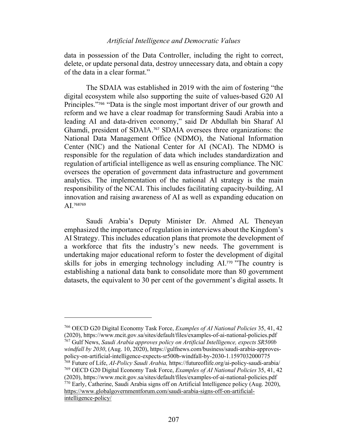data in possession of the Data Controller, including the right to correct, delete, or update personal data, destroy unnecessary data, and obtain a copy of the data in a clear format."

The SDAIA was established in 2019 with the aim of fostering "the digital ecosystem while also supporting the suite of values-based G20 AI Principles."<sup>766</sup> "Data is the single most important driver of our growth and reform and we have a clear roadmap for transforming Saudi Arabia into a leading AI and data-driven economy," said Dr Abdullah bin Sharaf Al Ghamdi, president of SDAIA. <sup>767</sup> SDAIA oversees three organizations: the National Data Management Office (NDMO), the National Information Center (NIC) and the National Center for AI (NCAI). The NDMO is responsible for the regulation of data which includes standardization and regulation of artificial intelligence as well as ensuring compliance. The NIC oversees the operation of government data infrastructure and government analytics. The implementation of the national AI strategy is the main responsibility of the NCAI. This includes facilitating capacity-building, AI innovation and raising awareness of AI as well as expanding education on AI.<sup>768769</sup>

Saudi Arabia's Deputy Minister Dr. Ahmed AL Theneyan emphasized the importance of regulation in interviews about the Kingdom's AI Strategy. This includes education plans that promote the development of a workforce that fits the industry's new needs. The government is undertaking major educational reform to foster the development of digital skills for jobs in emerging technology including AI.<sup>770</sup> "The country is establishing a national data bank to consolidate more than 80 government datasets, the equivalent to 30 per cent of the government's digital assets. It

<sup>766</sup> OECD G20 Digital Economy Task Force, *Examples of AI National Policies* 35, 41, 42 (2020), https://www.mcit.gov.sa/sites/default/files/examples-of-ai-national-policies.pdf <sup>767</sup> Gulf News, *Saudi Arabia approves policy on Artificial Intelligence, expects SR500b windfall by 2030*, (Aug. 10, 2020), https://gulfnews.com/business/saudi-arabia-approvespolicy-on-artificial-intelligence-expects-sr500b-windfall-by-2030-1.1597032000775 <sup>768</sup> Future of Life, *AI-Policy Saudi Arabia,* https://futureoflife.org/ai-policy-saudi-arabia/ <sup>769</sup> OECD G20 Digital Economy Task Force, *Examples of AI National Policies* 35, 41, 42 (2020), https://www.mcit.gov.sa/sites/default/files/examples-of-ai-national-policies.pdf <sup>770</sup> Early, Catherine, Saudi Arabia signs off on Artificial Intelligence policy (Aug. 2020), https://www.globalgovernmentforum.com/saudi-arabia-signs-off-on-artificialintelligence-policy/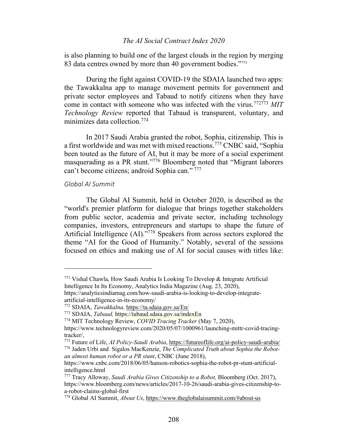is also planning to build one of the largest clouds in the region by merging 83 data centres owned by more than 40 government bodies."<sup>771</sup>

During the fight against COVID-19 the SDAIA launched two apps: the Tawakkalna app to manage movement permits for government and private sector employees and Tabaud to notify citizens when they have come in contact with someone who was infected with the virus.772773 *MIT Technology Review* reported that Tabaud is transparent, voluntary, and minimizes data collection.774

In 2017 Saudi Arabia granted the robot, Sophia, citizenship. This is a first worldwide and was met with mixed reactions.775 CNBC said, "Sophia been touted as the future of AI, but it may be more of a social experiment masquerading as a PR stunt."776 Bloomberg noted that "Migrant laborers can't become citizens; android Sophia can." <sup>777</sup>

## *Global AI Summit*

The Global AI Summit, held in October 2020, is described as the "world's premier platform for dialogue that brings together stakeholders from public sector, academia and private sector, including technology companies, investors, entrepreneurs and startups to shape the future of Artificial Intelligence (AI)."<sup>778</sup> Speakers from across sectors explored the theme "AI for the Good of Humanity." Notably, several of the sessions focused on ethics and making use of AI for social causes with titles like:

<sup>771</sup> Vishal Chawla, How Saudi Arabia Is Looking To Develop & Integrate Artificial Intelligence In Its Economy, Analytics India Magazine (Aug. 23, 2020),

https://analyticsindiamag.com/how-saudi-arabia-is-looking-to-develop-integrateartificial-intelligence-in-its-economy/

<sup>772</sup> SDAIA, *Tawakkalna,* https://ta.sdaia.gov.sa/En/

<sup>773</sup> SDAIA, *Tabaud,* https://tabaud.sdaia.gov.sa/indexEn

<sup>774</sup> MIT Technology Review, *COVID Tracing Tracker* (May 7, 2020),

https://www.technologyreview.com/2020/05/07/1000961/launching-mittr-covid-tracingtracker/,

<sup>775</sup> Future of Life, *AI Policy-Saudi Arabia*, https://futureoflife.org/ai-policy-saudi-arabia/

<sup>776</sup> Jaden Urbi and Sigalos MacKenzie, *The Complicated Truth about Sophia the Robotan almost human robot or a PR stunt*, CNBC (June 2018),

https://www.cnbc.com/2018/06/05/hanson-robotics-sophia-the-robot-pr-stunt-artificialintelligence.html

<sup>777</sup> Tracy Alloway, *Saudi Arabia Gives Citizenship to a Robot,* Bloomberg (Oct. 2017), https://www.bloomberg.com/news/articles/2017-10-26/saudi-arabia-gives-citizenship-toa-robot-claims-global-first

<sup>778</sup> Global AI Summit, *About Us*, https://www.theglobalaisummit.com/#about-us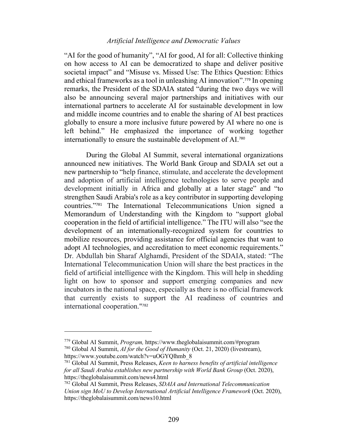"AI for the good of humanity", "AI for good, AI for all: Collective thinking on how access to AI can be democratized to shape and deliver positive societal impact" and "Misuse vs. Missed Use: The Ethics Question: Ethics and ethical frameworks as a tool in unleashing AI innovation". <sup>779</sup> In opening remarks, the President of the SDAIA stated "during the two days we will also be announcing several major partnerships and initiatives with our international partners to accelerate AI for sustainable development in low and middle income countries and to enable the sharing of AI best practices globally to ensure a more inclusive future powered by AI where no one is left behind." He emphasized the importance of working together internationally to ensure the sustainable development of AI.<sup>780</sup>

During the Global AI Summit, several international organizations announced new initiatives. The World Bank Group and SDAIA set out a new partnership to "help finance, stimulate, and accelerate the development and adoption of artificial intelligence technologies to serve people and development initially in Africa and globally at a later stage" and "to strengthen Saudi Arabia's role as a key contributor in supporting developing countries."<sup>781</sup> The International Telecommunications Union signed a Memorandum of Understanding with the Kingdom to "support global cooperation in the field of artificial intelligence." The ITU will also "see the development of an internationally-recognized system for countries to mobilize resources, providing assistance for official agencies that want to adopt AI technologies, and accreditation to meet economic requirements." Dr. Abdullah bin Sharaf Alghamdi, President of the SDAIA, stated: "The International Telecommunication Union will share the best practices in the field of artificial intelligence with the Kingdom. This will help in shedding light on how to sponsor and support emerging companies and new incubators in the national space, especially as there is no official framework that currently exists to support the AI readiness of countries and international cooperation."<sup>782</sup>

<sup>779</sup> Global AI Summit, *Program,* https://www.theglobalaisummit.com/#program

<sup>780</sup> Global AI Summit, *AI for the Good of Humanity* (Oct. 21, 2020) (livestream), https://www.youtube.com/watch?v=uOGYQlhmb\_8

<sup>781</sup> Global AI Summit, Press Releases, *Keen to harness benefits of artificial intelligence for all Saudi Arabia establishes new partnership with World Bank Group* (Oct. 2020), https://theglobalaisummit.com/news4.html

<sup>782</sup> Global AI Summit, Press Releases, *SDAIA and International Telecommunication Union sign MoU to Develop International Artificial Intelligence Framework* (Oct. 2020), https://theglobalaisummit.com/news10.html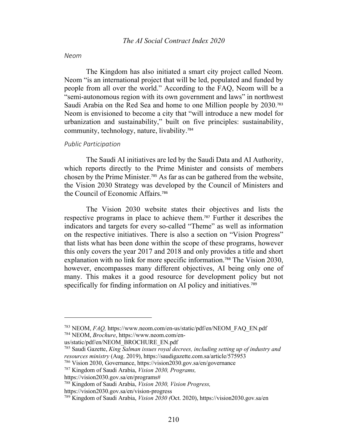#### *Neom*

The Kingdom has also initiated a smart city project called Neom. Neom "is an international project that will be led, populated and funded by people from all over the world." According to the FAQ, Neom will be a "semi-autonomous region with its own government and laws" in northwest Saudi Arabia on the Red Sea and home to one Million people by 2030.<sup>783</sup> Neom is envisioned to become a city that "will introduce a new model for urbanization and sustainability," built on five principles: sustainability, community, technology, nature, livability.<sup>784</sup>

#### *Public Participation*

The Saudi AI initiatives are led by the Saudi Data and AI Authority, which reports directly to the Prime Minister and consists of members chosen by the Prime Minister.<sup>785</sup> As far as can be gathered from the website, the Vision 2030 Strategy was developed by the Council of Ministers and the Council of Economic Affairs.<sup>786</sup>

The Vision 2030 website states their objectives and lists the respective programs in place to achieve them.<sup>787</sup> Further it describes the indicators and targets for every so-called "Theme" as well as information on the respective initiatives. There is also a section on "Vision Progress" that lists what has been done within the scope of these programs, however this only covers the year 2017 and 2018 and only provides a title and short explanation with no link for more specific information.<sup>788</sup> The Vision 2030, however, encompasses many different objectives, AI being only one of many. This makes it a good resource for development policy but not specifically for finding information on AI policy and initiatives.<sup>789</sup>

<sup>783</sup> NEOM, *FAQ,* https://www.neom.com/en-us/static/pdf/en/NEOM\_FAQ\_EN.pdf <sup>784</sup> NEOM, *Brochure*, https://www.neom.com/en-

us/static/pdf/en/NEOM\_BROCHURE\_EN.pdf

<sup>785</sup> Saudi Gazette, *King Salman issues royal decrees, including setting up of industry and resources ministry* (Aug. 2019), https://saudigazette.com.sa/article/575953

<sup>786</sup> Vision 2030, Governance, https://vision2030.gov.sa/en/governance

<sup>787</sup> Kingdom of Saudi Arabia, *Vision 2030, Programs,*

https://vision2030.gov.sa/en/programs#

<sup>788</sup> Kingdom of Saudi Arabia, *Vision 2030, Vision Progress,*

https://vision2030.gov.sa/en/vision-progress

<sup>789</sup> Kingdom of Saudi Arabia, *Vision 2030 (*Oct. 2020), https://vision2030.gov.sa/en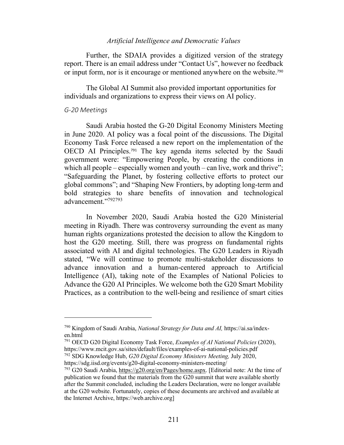Further, the SDAIA provides a digitized version of the strategy report. There is an email address under "Contact Us", however no feedback or input form, nor is it encourage or mentioned anywhere on the website.<sup>790</sup>

The Global AI Summit also provided important opportunities for individuals and organizations to express their views on AI policy.

#### *G-20 Meetings*

Saudi Arabia hosted the G-20 Digital Economy Ministers Meeting in June 2020. AI policy was a focal point of the discussions. The Digital Economy Task Force released a new report on the implementation of the OECD AI Principles.<sup>791</sup> The key agenda items selected by the Saudi government were: "Empowering People, by creating the conditions in which all people – especially women and youth – can live, work and thrive"; "Safeguarding the Planet, by fostering collective efforts to protect our global commons"; and "Shaping New Frontiers, by adopting long-term and bold strategies to share benefits of innovation and technological advancement."792793

In November 2020, Saudi Arabia hosted the G20 Ministerial meeting in Riyadh. There was controversy surrounding the event as many human rights organizations protested the decision to allow the Kingdom to host the G20 meeting. Still, there was progress on fundamental rights associated with AI and digital technologies. The G20 Leaders in Riyadh stated, "We will continue to promote multi-stakeholder discussions to advance innovation and a human-centered approach to Artificial Intelligence (AI), taking note of the Examples of National Policies to Advance the G20 AI Principles. We welcome both the G20 Smart Mobility Practices, as a contribution to the well-being and resilience of smart cities

<sup>790</sup> Kingdom of Saudi Arabia, *National Strategy for Data and AI,* https://ai.sa/indexen.html

<sup>791</sup> OECD G20 Digital Economy Task Force, *Examples of AI National Policies* (2020), https://www.mcit.gov.sa/sites/default/files/examples-of-ai-national-policies.pdf

<sup>792</sup> SDG Knowledge Hub, *G20 Digital Economy Ministers Meeting,* July 2020, https://sdg.iisd.org/events/g20-digital-economy-ministers-meeting/

<sup>793</sup> G20 Saudi Arabia, https://g20.org/en/Pages/home.aspx. [Editorial note: At the time of publication we found that the materials from the G20 summit that were available shortly after the Summit concluded, including the Leaders Declaration, were no longer available at the G20 website. Fortunately, copies of these documents are archived and available at the Internet Archive, https://web.archive.org]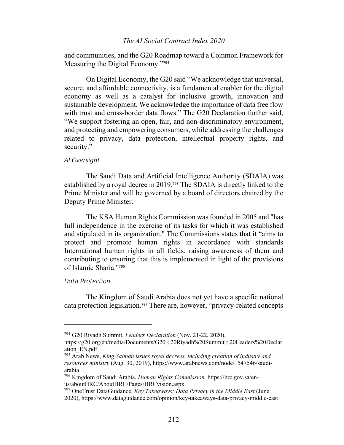and communities, and the G20 Roadmap toward a Common Framework for Measuring the Digital Economy."<sup>794</sup>

On Digital Economy, the G20 said "We acknowledge that universal, secure, and affordable connectivity, is a fundamental enabler for the digital economy as well as a catalyst for inclusive growth, innovation and sustainable development. We acknowledge the importance of data free flow with trust and cross-border data flows." The G20 Declaration further said, "We support fostering an open, fair, and non-discriminatory environment, and protecting and empowering consumers, while addressing the challenges related to privacy, data protection, intellectual property rights, and security."

#### *AI Oversight*

The Saudi Data and Artificial Intelligence Authority (SDAIA) was established by a royal decree in 2019.<sup>795</sup> The SDAIA is directly linked to the Prime Minister and will be governed by a board of directors chaired by the Deputy Prime Minister.

The KSA Human Rights Commission was founded in 2005 and "has full independence in the exercise of its tasks for which it was established and stipulated in its organization." The Commissions states that it "aims to protect and promote human rights in accordance with standards International human rights in all fields, raising awareness of them and contributing to ensuring that this is implemented in light of the provisions of Islamic Sharia."<sup>796</sup>

#### *Data Protection*

The Kingdom of Saudi Arabia does not yet have a specific national data protection legislation.<sup>797</sup> There are, however, "privacy-related concepts

<sup>794</sup> G20 Riyadh Summit, *Leaders Declaration* (Nov. 21-22, 2020),

https://g20.org/en/media/Documents/G20%20Riyadh%20Summit%20Leaders%20Declar ation\_EN.pdf

<sup>795</sup> Arab News, *King Salman issues royal decrees, including creation of industry and resources ministry* (Aug. 30, 2019), https://www.arabnews.com/node/1547546/saudiarabia

<sup>796</sup> Kingdom of Saudi Arabia, *Human Rights Commission,* https://hrc.gov.sa/enus/aboutHRC/AboutHRC/Pages/HRCvision.aspx.

<sup>797</sup> OneTrust DataGuidance, *Key Takeaways: Data Privacy in the Middle East* (June 2020), https://www.dataguidance.com/opinion/key-takeaways-data-privacy-middle-east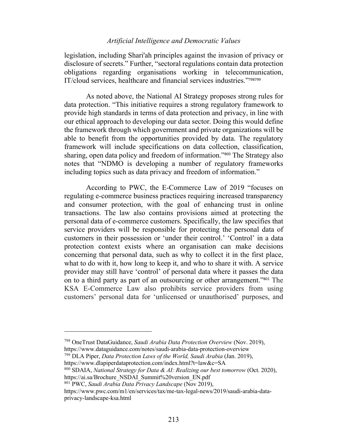legislation, including Shari'ah principles against the invasion of privacy or disclosure of secrets." Further, "sectoral regulations contain data protection obligations regarding organisations working in telecommunication, IT/cloud services, healthcare and financial services industries."<sup>798799</sup>

As noted above, the National AI Strategy proposes strong rules for data protection. "This initiative requires a strong regulatory framework to provide high standards in terms of data protection and privacy, in line with our ethical approach to developing our data sector. Doing this would define the framework through which government and private organizations will be able to benefit from the opportunities provided by data. The regulatory framework will include specifications on data collection, classification, sharing, open data policy and freedom of information."<sup>800</sup> The Strategy also notes that "NDMO is developing a number of regulatory frameworks including topics such as data privacy and freedom of information."

According to PWC, the E-Commerce Law of 2019 "focuses on regulating e-commerce business practices requiring increased transparency and consumer protection, with the goal of enhancing trust in online transactions. The law also contains provisions aimed at protecting the personal data of e-commerce customers. Specifically, the law specifies that service providers will be responsible for protecting the personal data of customers in their possession or 'under their control.' 'Control' in a data protection context exists where an organisation can make decisions concerning that personal data, such as why to collect it in the first place, what to do with it, how long to keep it, and who to share it with. A service provider may still have 'control' of personal data where it passes the data on to a third party as part of an outsourcing or other arrangement."<sup>801</sup> The KSA E-Commerce Law also prohibits service providers from using customers' personal data for 'unlicensed or unauthorised' purposes, and

<sup>798</sup> OneTrust DataGuidance, *Saudi Arabia Data Protection Overview* (Nov. 2019), https://www.dataguidance.com/notes/saudi-arabia-data-protection-overview

<sup>799</sup> DLA Piper, *Data Protection Laws of the World, Saudi Arabia* (Jan. 2019), https://www.dlapiperdataprotection.com/index.html?t=law&c=SA

<sup>800</sup> SDAIA, *National Strategy for Data & AI: Realizing our best tomorrow* (Oct. 2020), https://ai.sa/Brochure\_NSDAI\_Summit%20version\_EN.pdf

<sup>801</sup> PWC, *Saudi Arabia Data Privacy Landscape* (Nov 2019),

https://www.pwc.com/m1/en/services/tax/me-tax-legal-news/2019/saudi-arabia-dataprivacy-landscape-ksa.html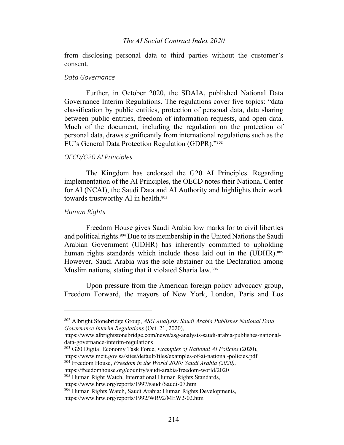from disclosing personal data to third parties without the customer's consent.

#### *Data Governance*

Further, in October 2020, the SDAIA, published National Data Governance Interim Regulations. The regulations cover five topics: "data classification by public entities, protection of personal data, data sharing between public entities, freedom of information requests, and open data. Much of the document, including the regulation on the protection of personal data, draws significantly from international regulations such as the EU's General Data Protection Regulation (GDPR)."<sup>802</sup>

#### *OECD/G20 AI Principles*

The Kingdom has endorsed the G20 AI Principles. Regarding implementation of the AI Principles, the OECD notes their National Center for AI (NCAI), the Saudi Data and AI Authority and highlights their work towards trustworthy AI in health.<sup>803</sup>

## *Human Rights*

Freedom House gives Saudi Arabia low marks for to civil liberties and political rights.<sup>804</sup> Due to its membership in the United Nations the Saudi Arabian Government (UDHR) has inherently committed to upholding human rights standards which include those laid out in the (UDHR).<sup>805</sup> However, Saudi Arabia was the sole abstainer on the Declaration among Muslim nations, stating that it violated Sharia law.<sup>806</sup>

Upon pressure from the American foreign policy advocacy group, Freedom Forward, the mayors of New York, London, Paris and Los

<sup>802</sup> Albright Stonebridge Group, *ASG Analysis: Saudi Arabia Publishes National Data Governance Interim Regulations* (Oct. 21, 2020),

https://www.albrightstonebridge.com/news/asg-analysis-saudi-arabia-publishes-nationaldata-governance-interim-regulations

<sup>803</sup> G20 Digital Economy Task Force, *Examples of National AI Policies* (2020),

https://www.mcit.gov.sa/sites/default/files/examples-of-ai-national-policies.pdf <sup>804</sup> Freedom House, *Freedom in the World 2020: Saudi Arabia (2020),* 

https://freedomhouse.org/country/saudi-arabia/freedom-world/2020

<sup>805</sup> Human Right Watch, International Human Rights Standards,

https://www.hrw.org/reports/1997/saudi/Saudi-07.htm

<sup>806</sup> Human Rights Watch, Saudi Arabia: Human Rights Developments, https://www.hrw.org/reports/1992/WR92/MEW2-02.htm